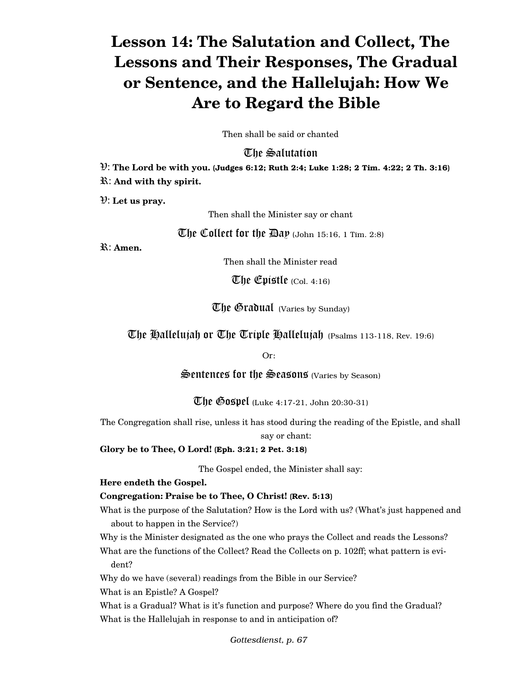# **Lesson 14: The Salutation and Collect, The Lessons and Their Responses, The Gradual or Sentence, and the Hallelujah: How We Are to Regard the Bible**

Then shall be said or chanted

# The Salutation

V: **The Lord be with you.** (Judges 6:12; Ruth 2:4; Luke 1:28; 2 Tim. 4:22; 2 Th. 3:16) R: **And with thy spirit.**

V: **Let us pray.**

Then shall the Minister say or chant

The Collect for the  $\mathbb{B}ap$  (John 15:16, 1 Tim. 2:8)

R: **Amen.**

Then shall the Minister read

The Epistle  $_{\rm (Col.~4:16)}$ 

**The Gradual** (Varies by Sunday)

The Hallelujah or The Triple Hallelujah (Psalms 113-118, Rev. 19:6)

Or:

 $\mathcal{S}$ entences for the  $\mathcal{S}$ easons (Varies by Season)

**The Gospel** (Luke 4:17-21, John 20:30-31)

The Congregation shall rise, unless it has stood during the reading of the Epistle, and shall say or chant:

**Glory be to Thee, O Lord!** (Eph. 3:21; 2 Pet. 3:18)

The Gospel ended, the Minister shall say:

## **Here endeth the Gospel.**

# **Congregation: Praise be to Thee, O Christ!** (Rev. 5:13)

What is the purpose of the Salutation? How is the Lord with us? (What's just happened and about to happen in the Service?)

Why is the Minister designated as the one who prays the Collect and reads the Lessons?

What are the functions of the Collect? Read the Collects on p. 102ff; what pattern is evident?

Why do we have (several) readings from the Bible in our Service?

What is an Epistle? A Gospel?

What is a Gradual? What is it's function and purpose? Where do you find the Gradual? What is the Hallelujah in response to and in anticipation of?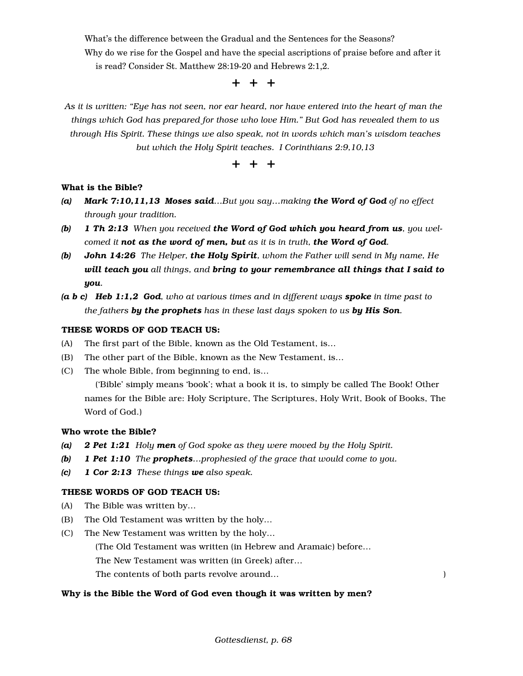What's the difference between the Gradual and the Sentences for the Seasons?

Why do we rise for the Gospel and have the special ascriptions of praise before and after it is read? Consider St. Matthew 28:19-20 and Hebrews 2:1,2.

## + + +

*As it is written: "Eye has not seen, nor ear heard, nor have entered into the heart of man the things which God has prepared for those who love Him." But God has revealed them to us through His Spirit. These things we also speak, not in words which man's wisdom teaches but which the Holy Spirit teaches. I Corinthians 2:9,10,13*

+ + +

#### What is the Bible?

- *(a) Mark 7:10,11,13 Moses said…But you say…making the Word of God of no effect through your tradition.*
- *(b) 1 Th 2:13 When you received the Word of God which you heard from us, you welcomed it not as the word of men, but as it is in truth, the Word of God.*
- *(b) John 14:26 The Helper, the Holy Spirit, whom the Father will send in My name, He will teach you all things, and bring to your remembrance all things that I said to you.*
- *(a b c) Heb 1:1,2 God, who at various times and in different ways spoke in time past to the fathers by the prophets has in these last days spoken to us by His Son.*

#### THESE WORDS OF GOD TEACH US:

- (A) The first part of the Bible, known as the Old Testament, is…
- (B) The other part of the Bible, known as the New Testament, is…
- (C) The whole Bible, from beginning to end, is…

 ('Bible' simply means 'book'; what a book it is, to simply be called The Book! Other names for the Bible are: Holy Scripture, The Scriptures, Holy Writ, Book of Books, The Word of God.)

#### Who wrote the Bible?

- *(a) 2 Pet 1:21 Holy men of God spoke as they were moved by the Holy Spirit.*
- *(b) 1 Pet 1:10 The prophets…prophesied of the grace that would come to you.*
- *(c) 1 Cor 2:13 These things we also speak.*

#### THESE WORDS OF GOD TEACH US:

- (A) The Bible was written by…
- (B) The Old Testament was written by the holy…
- (C) The New Testament was written by the holy…

(The Old Testament was written (in Hebrew and Aramaic) before…

The New Testament was written (in Greek) after…

The contents of both parts revolve around…

#### Why is the Bible the Word of God even though it was written by men?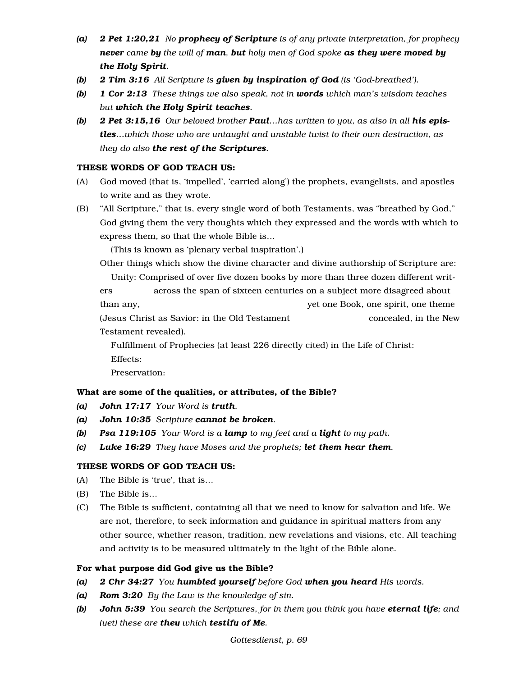- *(a) 2 Pet 1:20,21 No prophecy of Scripture is of any private interpretation, for prophecy never came by the will of man, but holy men of God spoke as they were moved by the Holy Spirit.*
- *(b) 2 Tim 3:16 All Scripture is given by inspiration of God (is 'God-breathed').*
- *(b) 1 Cor 2:13 These things we also speak, not in words which man's wisdom teaches but which the Holy Spirit teaches.*
- *(b) 2 Pet 3:15,16 Our beloved brother Paul…has written to you, as also in all his epistles…which those who are untaught and unstable twist to their own destruction, as they do also the rest of the Scriptures.*

## THESE WORDS OF GOD TEACH US:

- (A) God moved (that is, 'impelled', 'carried along') the prophets, evangelists, and apostles to write and as they wrote.
- (B) "All Scripture," that is, every single word of both Testaments, was "breathed by God," God giving them the very thoughts which they expressed and the words with which to express them, so that the whole Bible is…

(This is known as 'plenary verbal inspiration'.)

Other things which show the divine character and divine authorship of Scripture are:

Unity: Comprised of over five dozen books by more than three dozen different writ-

ers across the span of sixteen centuries on a subject more disagreed about than any, yet one Book, one spirit, one theme

(Jesus Christ as Savior: in the Old Testament concealed, in the New Testament revealed).

 Fulfillment of Prophecies (at least 226 directly cited) in the Life of Christ: Effects:

Preservation:

# What are some of the qualities, or attributes, of the Bible?

- *(a) John 17:17 Your Word is truth.*
- *(a) John 10:35 Scripture cannot be broken.*
- *(b) Psa 119:105 Your Word is a lamp to my feet and a light to my path.*
- *(c) Luke 16:29 They have Moses and the prophets; let them hear them.*

## THESE WORDS OF GOD TEACH US:

- (A) The Bible is 'true', that is…
- (B) The Bible is…
- (C) The Bible is sufficient, containing all that we need to know for salvation and life. We are not, therefore, to seek information and guidance in spiritual matters from any other source, whether reason, tradition, new revelations and visions, etc. All teaching and activity is to be measured ultimately in the light of the Bible alone.

## For what purpose did God give us the Bible?

- *(a) 2 Chr 34:27 You humbled yourself before God when you heard His words.*
- *(a) Rom 3:20 By the Law is the knowledge of sin.*
- *(b) John 5:39 You search the Scriptures, for in them you think you have eternal life; and (yet) these are they which testify of Me.*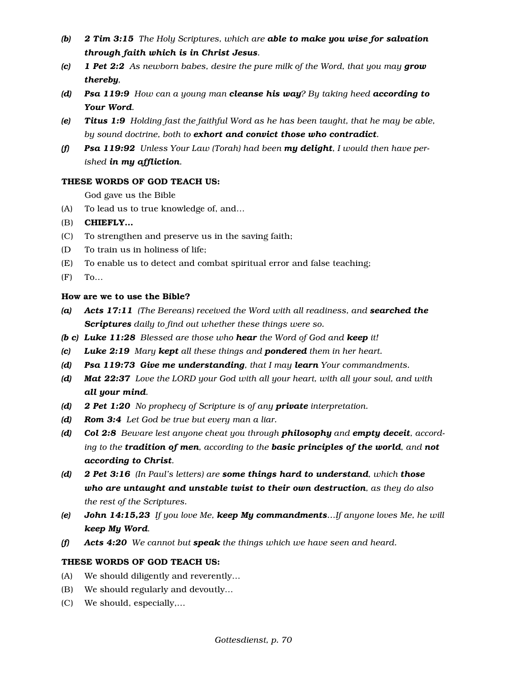- *(b) 2 Tim 3:15 The Holy Scriptures, which are able to make you wise for salvation through faith which is in Christ Jesus.*
- *(c) 1 Pet 2:2 As newborn babes, desire the pure milk of the Word, that you may grow thereby,*
- *(d) Psa 119:9 How can a young man cleanse his way? By taking heed according to Your Word.*
- *(e) Titus 1:9 Holding fast the faithful Word as he has been taught, that he may be able, by sound doctrine, both to exhort and convict those who contradict.*
- *(f) Psa 119:92 Unless Your Law (Torah) had been my delight, I would then have perished in my affliction.*

#### THESE WORDS OF GOD TEACH US:

God gave us the Bible

- (A) To lead us to true knowledge of, and…
- (B) CHIEFLY…
- (C) To strengthen and preserve us in the saving faith;
- (D To train us in holiness of life;
- (E) To enable us to detect and combat spiritual error and false teaching;
- (F) To…

## How are we to use the Bible?

- *(a) Acts 17:11 (The Bereans) received the Word with all readiness, and searched the Scriptures daily to find out whether these things were so.*
- *(b c) Luke 11:28 Blessed are those who hear the Word of God and keep it!*
- *(c) Luke 2:19 Mary kept all these things and pondered them in her heart.*
- *(d) Psa 119:73 Give me understanding, that I may learn Your commandments.*
- *(d) Mat 22:37 Love the LORD your God with all your heart, with all your soul, and with all your mind.*
- *(d) 2 Pet 1:20 No prophecy of Scripture is of any private interpretation.*
- *(d) Rom 3:4 Let God be true but every man a liar.*
- *(d) Col 2:8 Beware lest anyone cheat you through philosophy and empty deceit, according to the tradition of men, according to the basic principles of the world, and not according to Christ.*
- *(d) 2 Pet 3:16 (In Paul's letters) are some things hard to understand, which those who are untaught and unstable twist to their own destruction, as they do also the rest of the Scriptures.*
- *(e) John 14:15,23 If you love Me, keep My commandments…If anyone loves Me, he will keep My Word.*
- *(f) Acts 4:20 We cannot but speak the things which we have seen and heard.*

## THESE WORDS OF GOD TEACH US:

- (A) We should diligently and reverently…
- (B) We should regularly and devoutly…
- (C) We should, especially,…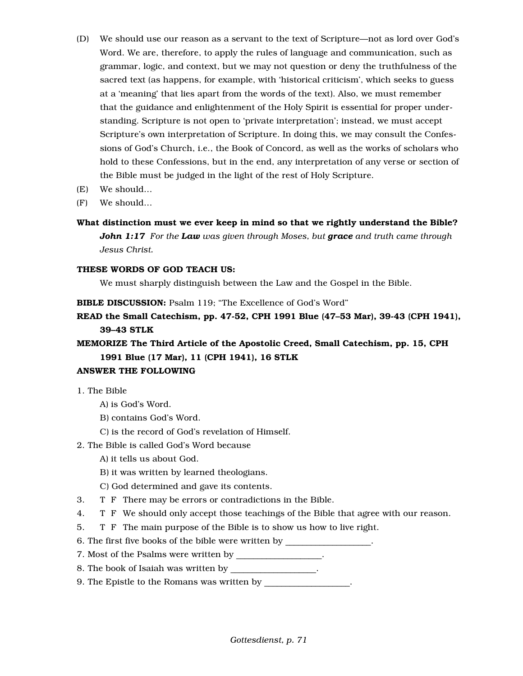- (D) We should use our reason as a servant to the text of Scripture—not as lord over God's Word. We are, therefore, to apply the rules of language and communication, such as grammar, logic, and context, but we may not question or deny the truthfulness of the sacred text (as happens, for example, with 'historical criticism', which seeks to guess at a 'meaning' that lies apart from the words of the text). Also, we must remember that the guidance and enlightenment of the Holy Spirit is essential for proper understanding. Scripture is not open to 'private interpretation'; instead, we must accept Scripture's own interpretation of Scripture. In doing this, we may consult the Confessions of God's Church, i.e., the Book of Concord, as well as the works of scholars who hold to these Confessions, but in the end, any interpretation of any verse or section of the Bible must be judged in the light of the rest of Holy Scripture.
- (E) We should…
- (F) We should…
- What distinction must we ever keep in mind so that we rightly understand the Bible? *John 1:17 For the Law was given through Moses, but grace and truth came through Jesus Christ.*

## THESE WORDS OF GOD TEACH US:

We must sharply distinguish between the Law and the Gospel in the Bible.

BIBLE DISCUSSION: Psalm 119; "The Excellence of God's Word"

READ the Small Catechism, pp. 47-52, CPH 1991 Blue (47–53 Mar), 39-43 (CPH 1941), 39–43 STLK

MEMORIZE The Third Article of the Apostolic Creed, Small Catechism, pp. 15, CPH 1991 Blue (17 Mar), 11 (CPH 1941), 16 STLK

# ANSWER THE FOLLOWING

- 1. The Bible
	- A) is God's Word.
	- B) contains God's Word.
	- C) is the record of God's revelation of Himself.
- 2. The Bible is called God's Word because
	- A) it tells us about God.
	- B) it was written by learned theologians.
	- C) God determined and gave its contents.
- 3. T F There may be errors or contradictions in the Bible.
- 4. T F We should only accept those teachings of the Bible that agree with our reason.
- 5. T F The main purpose of the Bible is to show us how to live right.
- 6. The first five books of the bible were written by  $\qquad \qquad$ .
- 7. Most of the Psalms were written by \_\_\_\_\_\_\_\_\_\_\_\_\_\_\_\_.
- 8. The book of Isaiah was written by \_\_\_\_\_\_\_\_\_\_\_\_\_\_\_\_.
- 9. The Epistle to the Romans was written by **with**